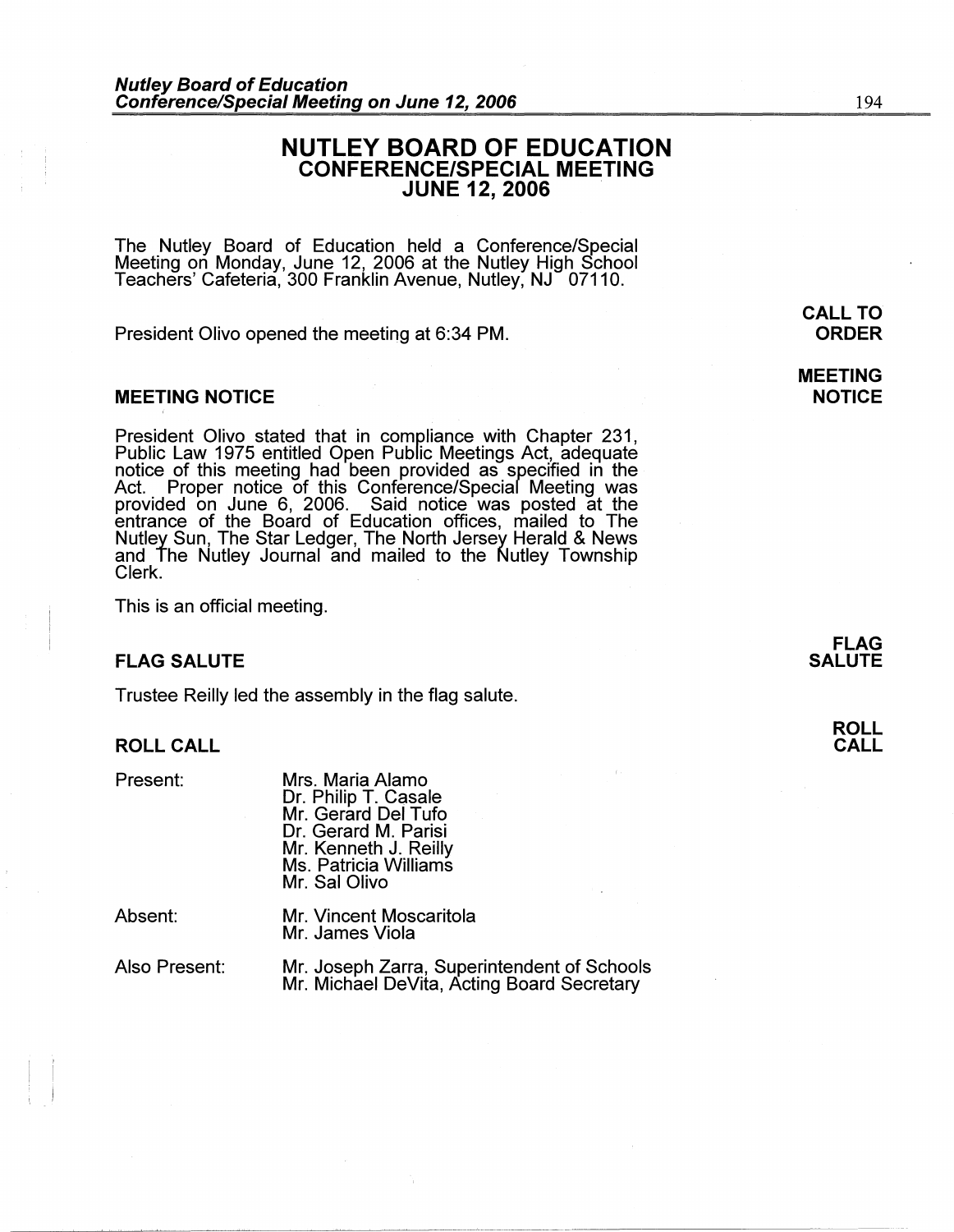# **NUTLEY BOARD OF EDUCATION CONFERENCE/SPECIAL MEETING JUNE 12, 2006**

The Nutley Board of Education held a Conference/Special Meeting on Monday, June 12, 2006 at the Nutley High School Teachers' Cafeteria, 300 Franklin Avenue, Nutley, NJ 07110.

President Olivo opened the meeting at 6:34 PM.

#### **MEETING NOTICE**

President Olivo stated that in compliance with Chapter 231, Public Law 1975 entitled Open Public Meetings Act, adequate notice of this meeting had been provided as specified in the Act. Proper notice of this Conference/Special Meeting was provided on June 6, 2006. Said notice was posted at the entrance of the Board of Education offices, mailed to The Nutley Sun, The Star Ledger, The North Jersey Herald & News and The Nutley Journal and mailed to the Nutley Township Clerk.

This is an official meeting.

#### **FLAG SALUTE**

Trustee Reilly led the assembly in the flag salute.

### **ROLL CALL**

Present:

Mrs. Maria Alamo Dr. Philip T. Casale Mr. Gerard Del Tufo Dr. Gerard M. Parisi Mr. Kenneth J. Reilly Ms. Patricia Williams Mr. Sal Olivo

Absent:

Mr. Vincent Moscaritola Mr. James Viola

Also Present:

Mr. Joseph Zarra, Superintendent of Schools Mr. Michael DeVita, Acting Board Secretary

**MEETING NOTICE** 

> **FLAG SALUTE**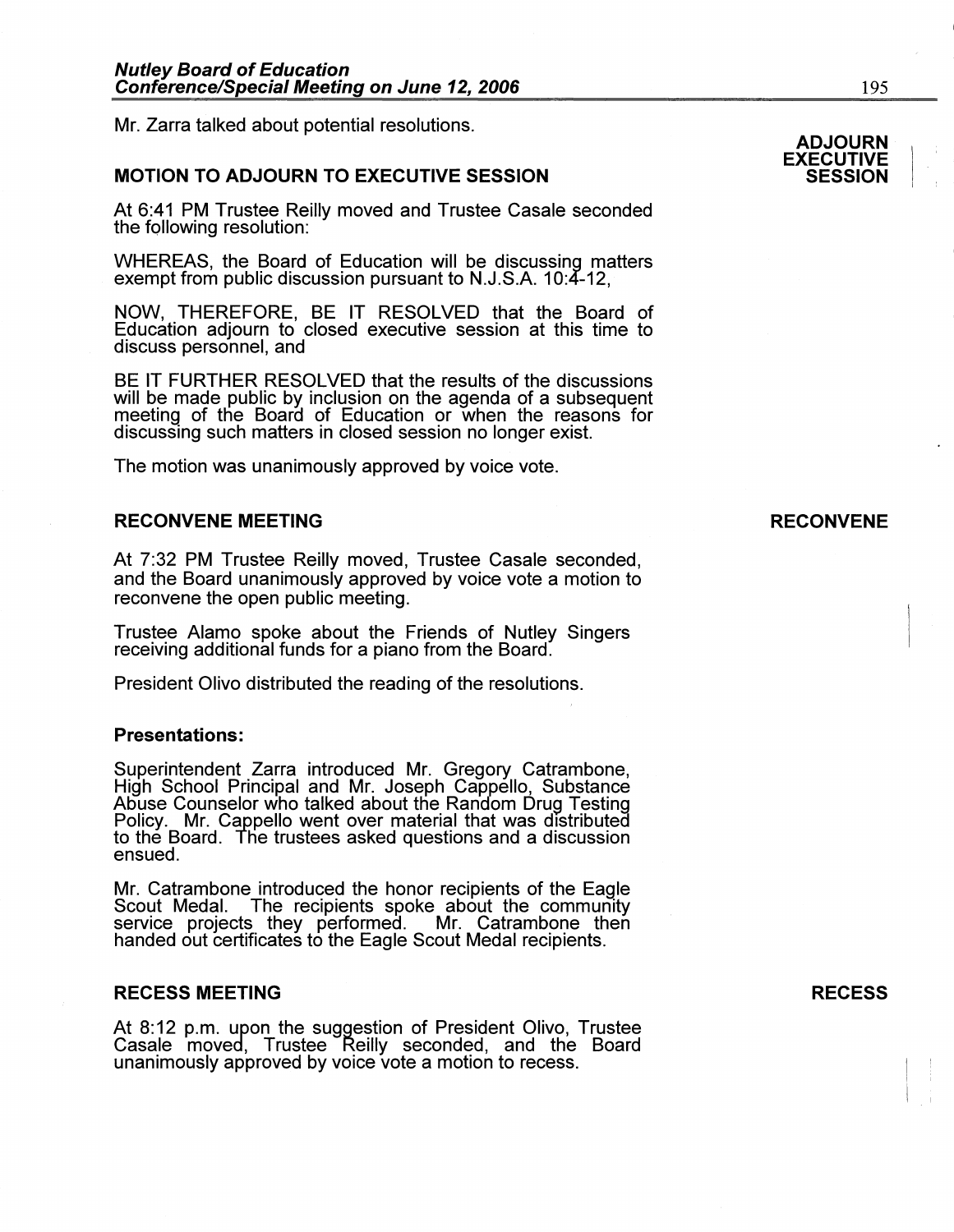Mr. Zarra talked about potential resolutions.

# **MOTION TO ADJOURN TO EXECUTIVE SESSION**

At 6:41 PM Trustee Reilly moved and Trustee Casale seconded the following resolution:

WHEREAS, the Board of Education will be discussing matters exempt from public discussion pursuant to N.J.S.A. 10:4-12,

NOW, THEREFORE, BE IT RESOLVED that the Board of Education adjourn to closed executive session at this time to discuss personnel, and

BE IT FURTHER RESOLVED that the results of the discussions will be made public by inclusion on the agenda of a subsequent meeting of the Board of Education or when the reasons for discussing such matters in closed session no longer exist.

The motion was unanimously approved by voice vote.

### **RECONVENE MEETING**

At 7:32 PM Trustee Reilly moved, Trustee Casale seconded, and the Board unanimously approved by voice vote a motion to reconvene the open public meeting.

Trustee Alamo spoke about the Friends of Nutley Singers receiving additional funds for a piano from the Board.

President Olivo distributed the reading of the resolutions.

#### **Presentations:**

Superintendent Zarra introduced Mr. Gregory Catrambone, High School Principal and Mr. Joseph Cappello, Substance Abuse Counselor who talked about the Random Drug Testing Policy. Mr. Cappello went over material that was distributed to the Board. The trustees asked questions and a discussion ensued.

Mr. Catrambone introduced the honor recipients of the Eagle Scout Medal. The recipients spoke about the community Scout Medal. The recipients spoke about the community<br>service projects they performed. Mr. Catrambone then handed out certificates to the Eagle Scout Medal recipients.

# **RECESS MEETING**

At 8: 12 p.m. upon the suggestion of President Olivo, Trustee Casale moved, Trustee Reilly seconded, and the Board unanimously approved by voice vote a motion to recess.

#### **RECESS**

 $\vert \cdot \vert$  $\mathbf{I}_{\mathrm{I}}$  i

# **ADJOURN**

#### **EXECUTIVE SESSION**

### **RECONVENE**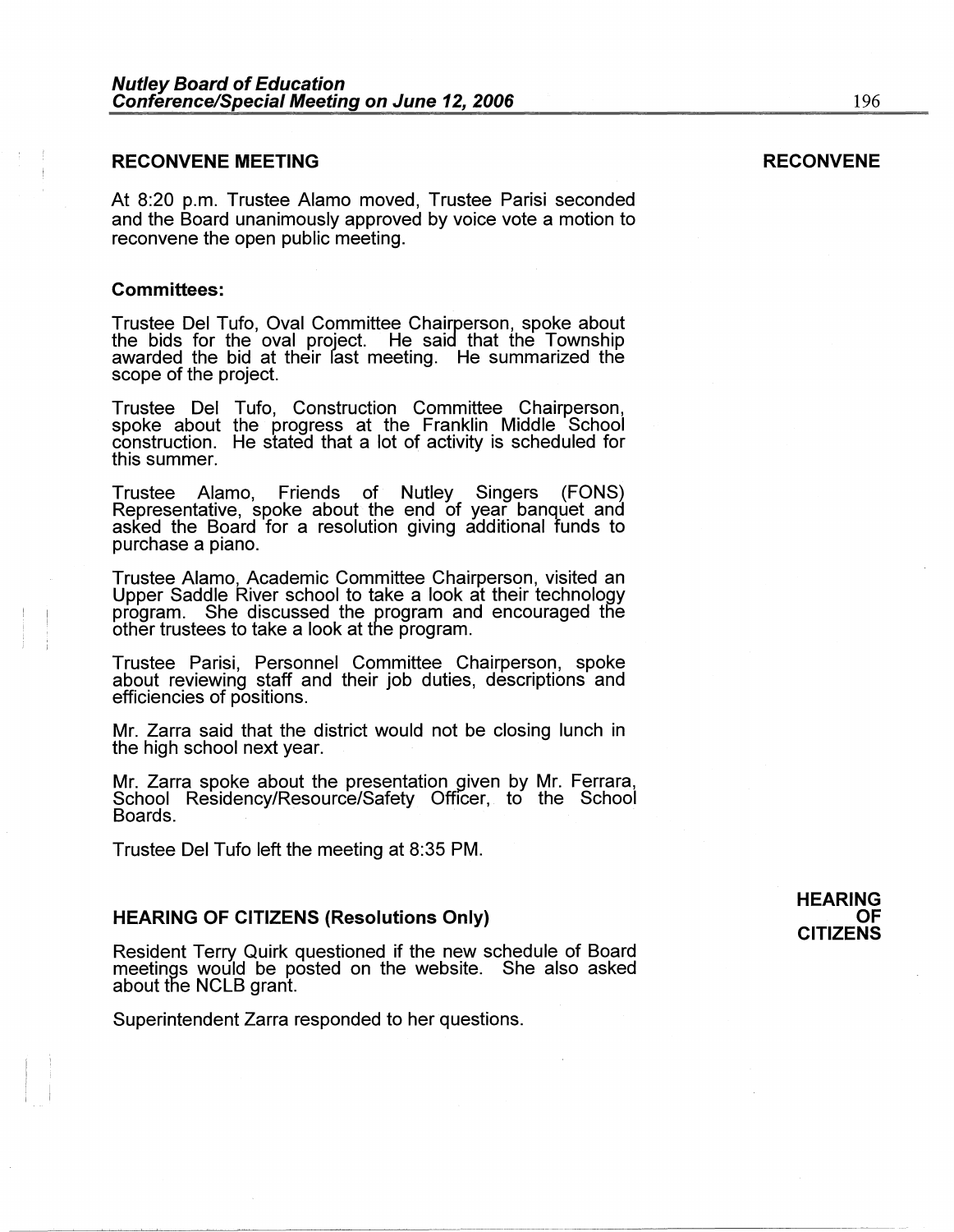#### **RECONVENE MEETING**

At 8:20 p.m. Trustee Alamo moved, Trustee Parisi seconded and the Board unanimously approved by voice vote a motion to reconvene the open public meeting.

#### **Committees:**

Trustee Del Tufo, Oval Committee Chairperson, spoke about the bids for the oval project. He said that the Township awarded the bid at their fast meeting. He summarized the scope of the project.

Trustee Del Tufo, Construction Committee Chairperson, spoke about the progress at the Franklin Middle School construction. He stated that a lot of activity is scheduled for this summer.

Trustee Alamo, Friends of Nutley Singers (FONS) asked the Board for a resolution giving additional funds to purchase a piano.

Trustee Alamo, Academic Committee Chairperson, visited an Upper Saddle River school to take a look at their technology program. She discussed the program and encouraged the other trustees to take a look at the program.

Trustee Parisi, Personnel Committee Chairperson, spoke about reviewing staff and their job duties, descriptions and efficiencies of positions.

Mr. Zarra said that the district would not be closing lunch in the high school next year.

Mr. Zarra spoke about the presentation given by Mr. Ferrara, School Residency/Resource/Safety Officer, to the School Boards.

Trustee Del Tufo left the meeting at 8:35 PM.

#### **HEARING OF CITIZENS (Resolutions Only)**

Resident Terry Quirk questioned if the new schedule of Board meetings would be posted on the website. She also asked about the NCLB grant.

Superintendent Zarra responded to her questions.

#### **HEARING OF CITIZENS**

#### **RECONVENE**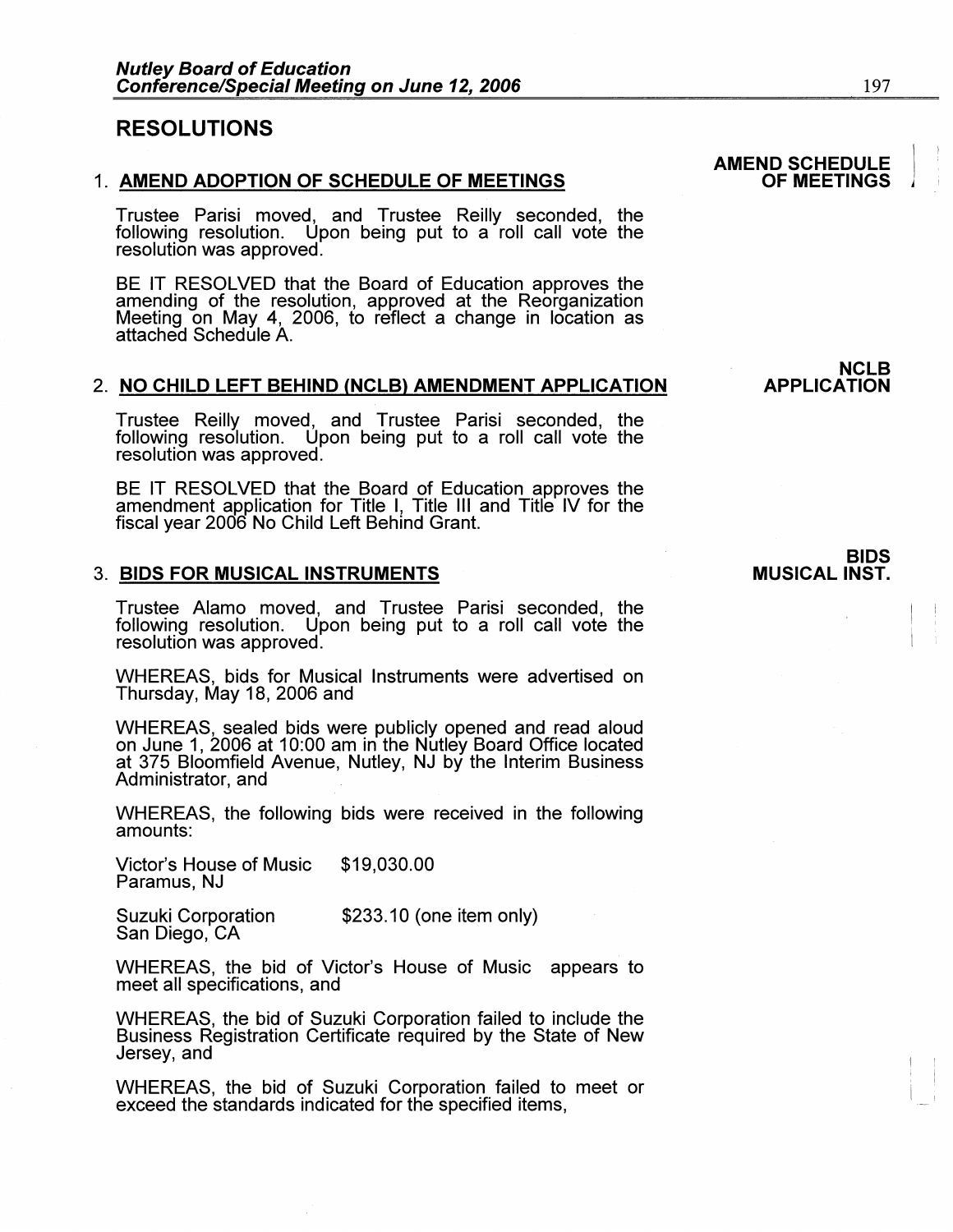# **RESOLUTIONS**

#### 1. **AMEND ADOPTION OF SCHEDULE OF MEETINGS**

Trustee Parisi moved, and Trustee Reilly seconded, the following resolution. Upon being put to a roll call vote the resolution was approved.

BE IT RESOLVED that the Board of Education approves the amending of the resolution, approved at the Reorganization Meeting on May 4, 2006, to reflect a change in location as attached Schedule A.

#### 2. **NO CHILD LEFT BEHIND (NCLB) AMENDMENT APPLICATION**

Trustee Reilly moved, and Trustee Parisi seconded, the following resolution. Upon being put to a roll call vote the resolution was approved.

BE IT RESOLVED that the Board of Education approves the amendment application for Title I, Title 111 and Title IV for the fiscal year 2006 No Child Left Behind Grant.

#### 3. **BIDS FOR MUSICAL INSTRUMENTS**

Trustee Alamo moved, and Trustee Parisi seconded, the following resolution. Upon being put to a roll call vote the resolution was approved.

WHEREAS, bids for Musical Instruments were advertised on Thursday, May 18, 2006 and

WHEREAS, sealed bids were publicly opened and read aloud on June 1, 2006 at 10:00 am in the Nutley Board Office located at 375 Bloomfield Avenue, Nutley, NJ by the Interim Business Administrator, and .

WHEREAS, the following bids were received in the following amounts:

Victor's House of Music \$19,030.00 Paramus, NJ

Suzuki Corporation San Diego, CA \$233.10 (one item only)

WHEREAS, the bid of Victor's House of Music appears to<br>meet all specifications, and

WHEREAS, the bid of Suzuki Corporation failed to include the Business Registration Certificate required by the State of New Jersey, and

WHEREAS, the bid of Suzuki Corporation failed to meet or exceed the standards indicated for the specified items,

# **BIDS**

**APPLICATION** 

# **MUSICAL INST.**

**AMEND SCHEDULE OF MEETINGS** 

**NCLB** 

 $\vert \cdot \vert$  $\vert$  ,  $\vert$ 

 $\mathbf{I}$ : I  $\mathbf{I} \rightarrow \mathbf{I}$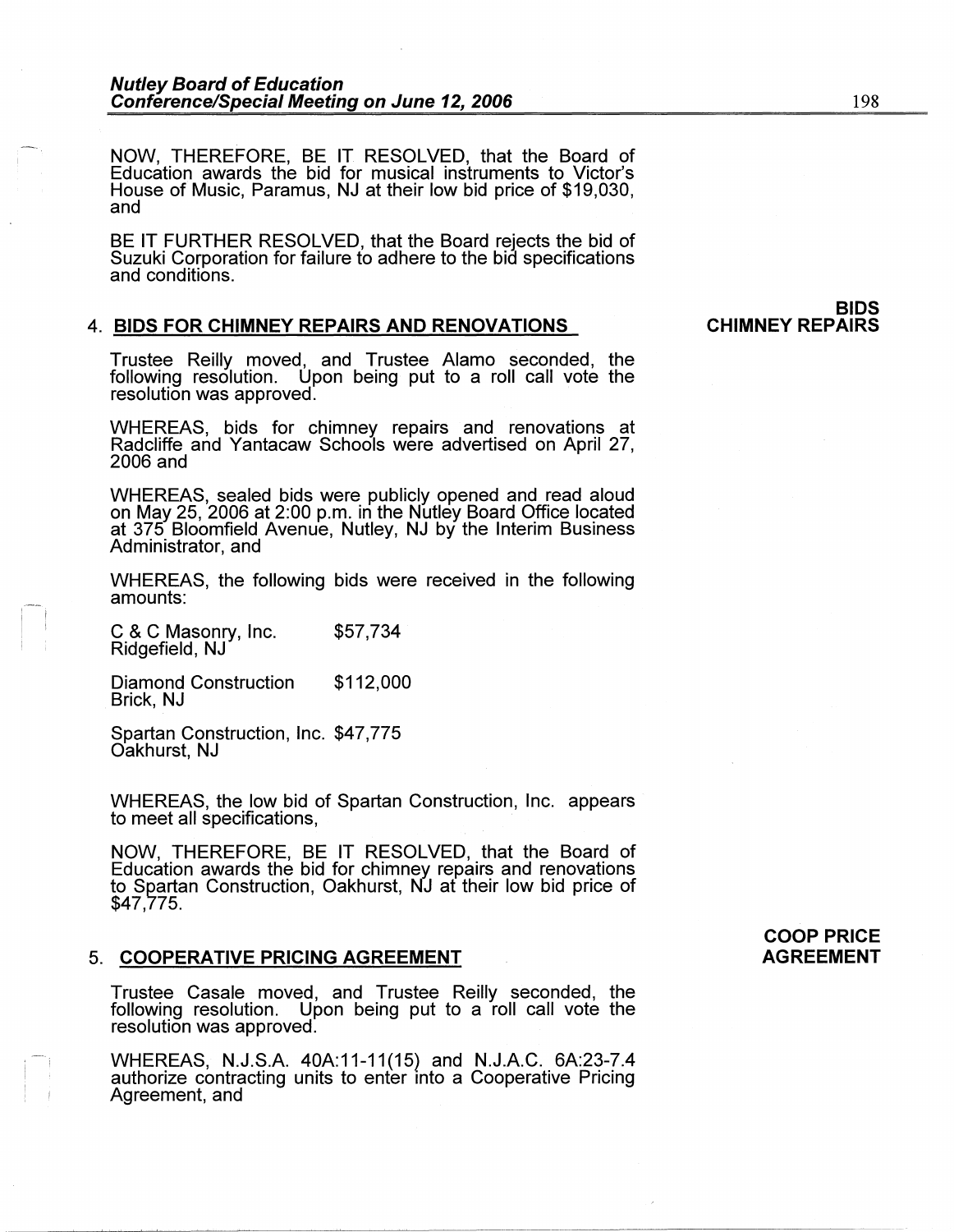NOW, THEREFORE, BE IT RESOLVED, that the Board of Education awards the bid for musical instruments to Victor's House of Music, Paramus, NJ at their low bid price of \$19,030, and

BE IT FURTHER RESOLVED, that the Board rejects the bid of Suzuki Corporation for failure to adhere to the bid specifications and conditions.

### 4. **BIDS FOR CHIMNEY REPAIRS AND RENOVATIONS**

**BIDS CHIMNEY REPAIRS** 

Trustee Reilly moved, and Trustee Alamo seconded, the following resolution. Upon being put to a roll call vote the resolution was approved.

WHEREAS, bids for chimney repairs and renovations at Radcliffe and Yantacaw Schools were advertised on April 27, 2006 and

WHEREAS, sealed bids were publicly opened and read aloud on May 25, 2006 at 2:00 p.m. in the Nutley Board Office located at 375 Bloomfield Avenue, Nutley, NJ by the Interim Business Administrator, and

WHEREAS, the following bids were received in the following amounts:

C & C Masonry, Inc. Ridgefield, NJ \$57,734

Diamond Construction Brick, NJ \$112,000

Spartan Construction, Inc. \$47,775 Oakhurst, NJ

WHEREAS, the low bid of Spartan Construction, Inc. appears to meet all specifications,

NOW, THEREFORE, BE IT RESOLVED, that the Board of Education awards the bid for chimney repairs and renovations to Spartan Construction, Oakhurst, NJ at their low bid price of \$47,775.

### 5. **COOPERATIVE PRICING AGREEMENT**

Trustee Casale moved, and Trustee Reilly seconded, the following resolution. Upon being put to a roll call vote the resolution was approved.

WHEREAS, N.J.S.A. 40A:11-11 (15) and N.J.A.C. 6A:23-7.4 authorize contracting units to enter into a Cooperative Pricing Agreement, and

**COOP PRICE AGREEMENT**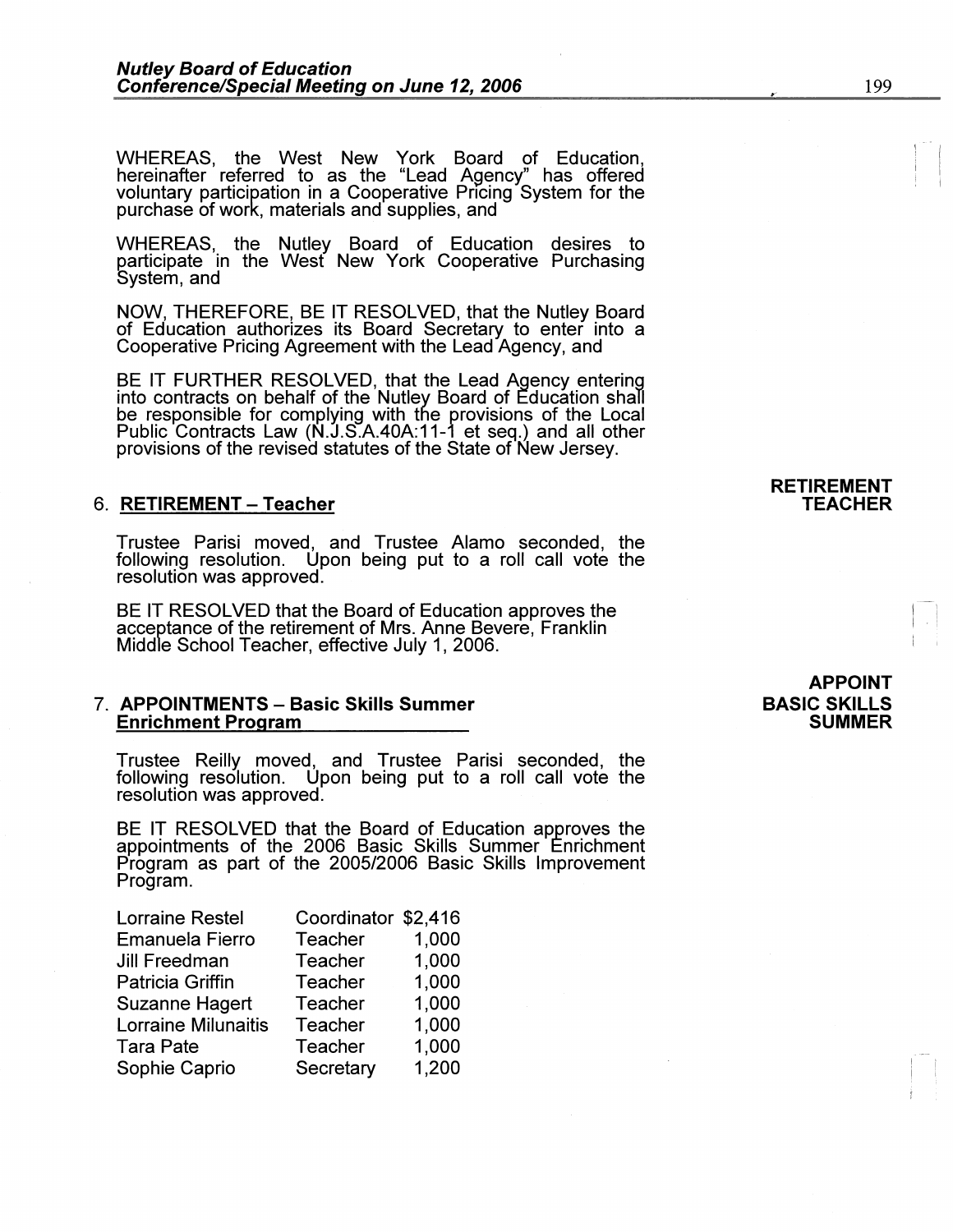WHEREAS, the West New York Board of Education, hereinafter referred to as the "Lead Agency" has offered voluntary participation in a Cooperative Pricing System for the purchase of work, materials and supplies, and

WHEREAS, the Nutley Board of Education desires to participate in the West New York Cooperative Purchasing System, and

**NOW,** THEREFORE, BE IT RESOLVED, that the Nutley Board of Education authorizes its Board Secretary to enter into a Cooperative Pricing Agreement with the Lead Agency, and

BE IT FURTHER RESOLVED, that the Lead Agency entering into contracts on behalf of the Nutley Board of Education shall be responsible for complying with the provisions of the Local Public Contracts Law (N.J.S.A.40A:11-1 et seq.) and all other provisions of the revised statutes of the State of New Jersey.

### 6. **RETIREMENT** - **Teacher**

Trustee Parisi moved, and Trustee Alamo seconded, the following resolution. Upon being put to a roll call vote the resolution was approved.

BE IT RESOLVED that the Board of Education approves the acceptance of the retirement of Mrs. Anne Severe, Franklin Middle School Teacher, effective July 1, 2006.

#### 7. **APPOINTMENTS** - **Basic Skills Summer Enrichment Program**

Trustee Reilly moved, and Trustee Parisi seconded, the following resolution. Upon being put to a roll call vote the resolution was approved.

BE IT RESOLVED that the Board of Education approves the appointments of the 2006 Basic Skills Summer Enrichment Program as part of the 2005/2006 Basic Skills Improvement Program.

| <b>Lorraine Restel</b> | Coordinator \$2,416 |       |
|------------------------|---------------------|-------|
| <b>Emanuela Fierro</b> | <b>Teacher</b>      | 1,000 |
| Jill Freedman          | Teacher             | 1,000 |
| Patricia Griffin       | Teacher             | 1,000 |
| <b>Suzanne Hagert</b>  | Teacher             | 1,000 |
| Lorraine Milunaitis    | <b>Teacher</b>      | 1,000 |
| <b>Tara Pate</b>       | Teacher             | 1,000 |
| Sophie Caprio          | Secretary           | 1,200 |

# **APPOINT BASIC SKILLS SUMMER**

**RETIREMENT TEACHER**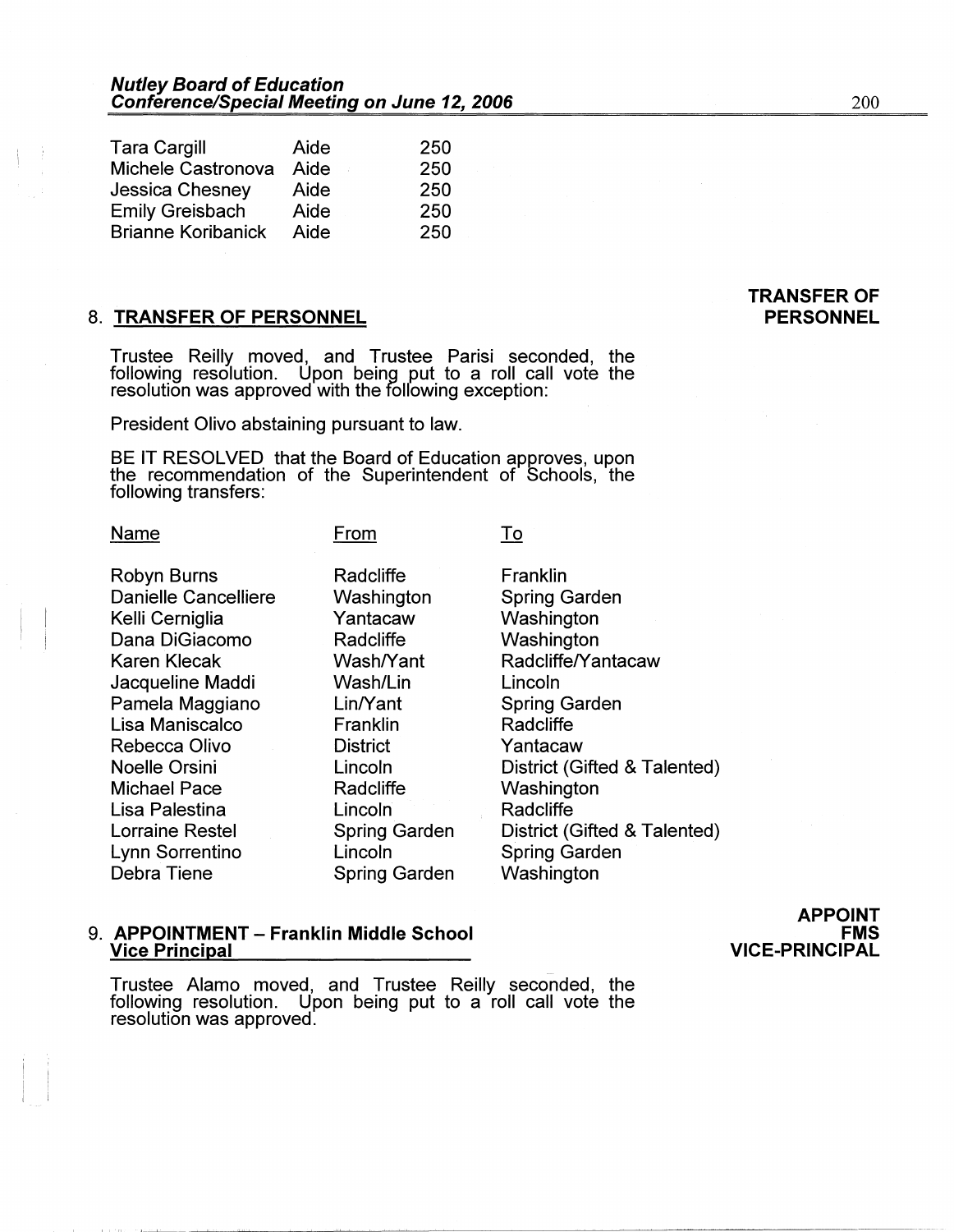| <b>Tara Cargill</b>       | Aide | 250 |
|---------------------------|------|-----|
| Michele Castronova        | Aide | 250 |
| Jessica Chesney           | Aide | 250 |
| <b>Emily Greisbach</b>    | Aide | 250 |
| <b>Brianne Koribanick</b> | Aide | 250 |

# 8. **TRANSFER OF PERSONNEL**

Trustee Reilly moved, and Trustee Parisi seconded, the following resolution. Upon being put to a roll call vote the resolution was approved with the following exception:

President Olivo abstaining pursuant to law.

BE IT RESOLVED that the Board of Education approves, upon the recommendation of the Superintendent of Schools, the following transfers:

From

Robyn Burns Danielle Cancelliere Kelli Cerniglia Dana DiGiacomo Karen Klecak Jacqueline Maddi Pamela Maggiano Lisa Maniscalco Rebecca Olivo Noelle Orsini Michael Pace Lisa Palestina Lorraine Restel Lynn Sorrentino Debra Tiene

Name

Radcliffe Washington Yantacaw Radcliffe Wash/Yant Wash/Lin Lin/Yant Franklin **District** Lincoln Radcliffe **Lincoln** Spring Garden Lincoln Spring Garden To

Franklin Spring Garden Washington Washington Radcliffe/Y antacaw Lincoln Spring Garden **Radcliffe** Yantacaw District (Gifted & Talented) **Washington** Radcliffe District (Gifted & Talented) Spring Garden **Washington** 

# 9. **APPOINTMENT - Franklin Middle School Vice Principal**

Trustee Alamo moved, and Trustee Reilly seconded, the following resolution. Upon being put to a roll call vote the resolution was approved.

**APPOINT FMS** 

# **VICE-PRINCIPAL**

**TRANSFER OF PERSONNEL**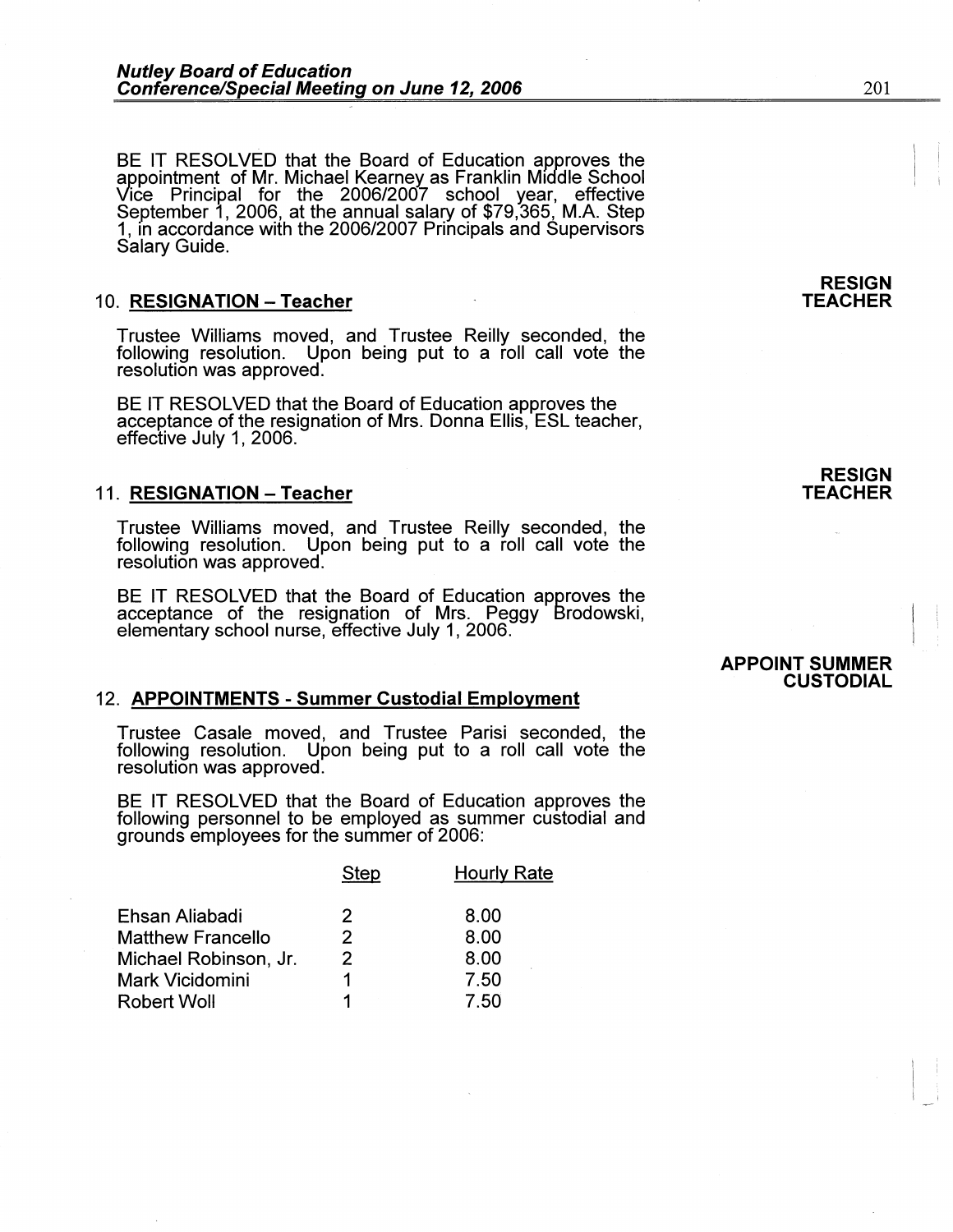BE IT RESOLVED that the Board of Education approves the appointment of Mr. Michael Kearney as Franklin Middle School Vice Principal for the 2006/2007 school year, effective September 1, 2006, at the annual salary of \$79,365, M.A. Step 1, in accordance with the 2006/2007 Principals and Supervisors<br>Salary Guide.

# 10. **RESIGNATION-Teacher**

Trustee Williams moved, and Trustee Reilly seconded, the following resolution. Upon being put to a roll call vote the resolution was approved.

BE IT RESOLVED that the Board of Education approves the acceptance of the resignation of Mrs. Donna Ellis, ESL teacher, effective July 1, 2006.

#### 11. **RESIGNATION - Teacher**

Trustee Williams moved, and Trustee Reilly seconded, the following resolution. Upon being put to a roll call vote the resolution was approved.

BE IT RESOLVED that the Board of Education approves the acceptance of the resignation of Mrs. Peggy Brodowski, elementary school nurse, effective July 1, 2006.

#### 12. **APPOINTMENTS -Summer Custodial Employment**

Trustee Casale moved, and Trustee Parisi seconded, the following resolution. Upon being put to a roll call vote the resolution was approved.

BE IT RESOLVED that the Board of Education approves the following personnel to be employed as summer custodial and grounds employees for the summer of 2006:

|                          | Step          | Hourly Rate |
|--------------------------|---------------|-------------|
| Ehsan Aliabadi           | 2             | 8.00        |
| <b>Matthew Francello</b> | $\mathcal{P}$ | 8.00        |
| Michael Robinson, Jr.    | 2             | 8.00        |
| Mark Vicidomini          |               | 7.50        |
| <b>Robert Woll</b>       |               | 7.50        |
|                          |               |             |

**RESIGN TEACHER** 

**RESIGN TEACHER** 

#### **APPOINT SUMMER CUSTODIAL**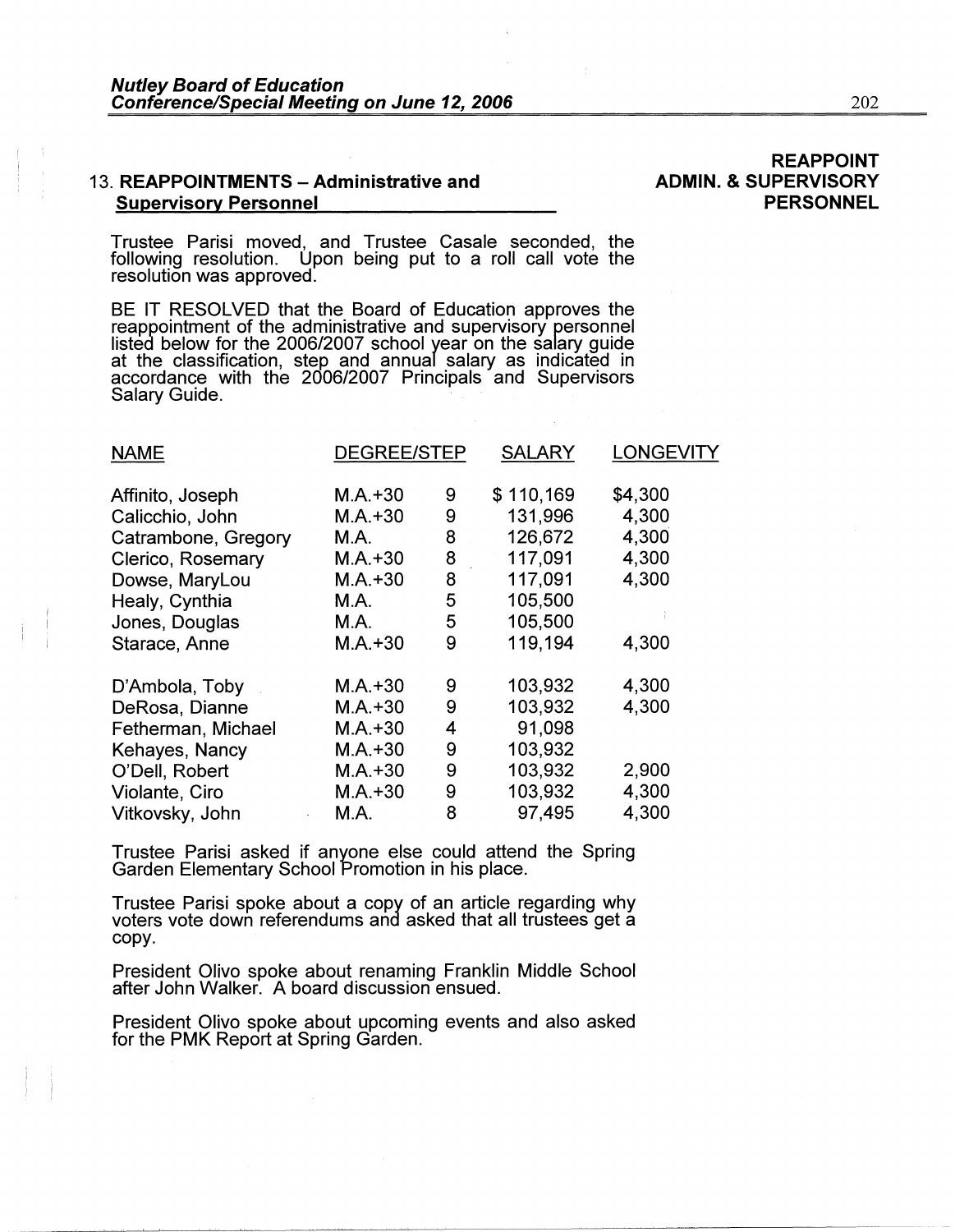# 13. **REAPPOINTMENTS - Administrative and Supervisory Personnel**

Trustee Parisi moved, and Trustee Casale seconded, the following resolution. Upon being put to a roll call vote the resolution was approved.

BE IT RESOLVED that the Board of Education approves the reappointment of the administrative and supervisory personnel listed below for the 2006/2007 school year on the salary guide<br>at the classification, step and annual salary as indicated in<br>accordance with the 2006/2007 Principals and Supervisors Salary Guide.

| <b>NAME</b>         | <b>DEGREE/STEP</b> |   | <b>SALARY</b> | <b>LONGEVITY</b> |
|---------------------|--------------------|---|---------------|------------------|
| Affinito, Joseph    | $M.A.+30$          | 9 | \$110,169     | \$4,300          |
| Calicchio, John     | $M.A. + 30$        | 9 | 131,996       | 4,300            |
| Catrambone, Gregory | M.A.               | 8 | 126,672       | 4,300            |
| Clerico, Rosemary   | $M.A. + 30$        | 8 | 117,091       | 4,300            |
| Dowse, MaryLou      | $M.A. + 30$        | 8 | 117,091       | 4,300            |
| Healy, Cynthia      | M.A.               | 5 | 105,500       |                  |
| Jones, Douglas      | M.A.               | 5 | 105,500       |                  |
| Starace, Anne       | $M.A. + 30$        | 9 | 119,194       | 4,300            |
| D'Ambola, Toby      | $M.A. + 30$        | 9 | 103,932       | 4,300            |
| DeRosa, Dianne      | $M.A.+30$          | 9 | 103,932       | 4,300            |
| Fetherman, Michael  | $M.A.+30$          | 4 | 91,098        |                  |
| Kehayes, Nancy      | $M.A. + 30$        | 9 | 103,932       |                  |
| O'Dell, Robert      | $M.A. + 30$        | 9 | 103,932       | 2,900            |
| Violante, Ciro      | $M.A.+30$          | 9 | 103,932       | 4,300            |
| Vitkovsky, John     | M.A.               | 8 | 97,495        | 4,300            |

Trustee Parisi asked if anyone else could attend the Spring Garden Elementary School Promotion in his place.

Trustee Parisi spoke about a copy of an article regarding why voters vote down referendums and asked that all trustees get a copy.

President Olivo spoke about renaming Franklin Middle School after John Walker. A board discussion ensued.

President Olivo spoke about upcoming events and also asked for the PMK Report at Spring Garden.